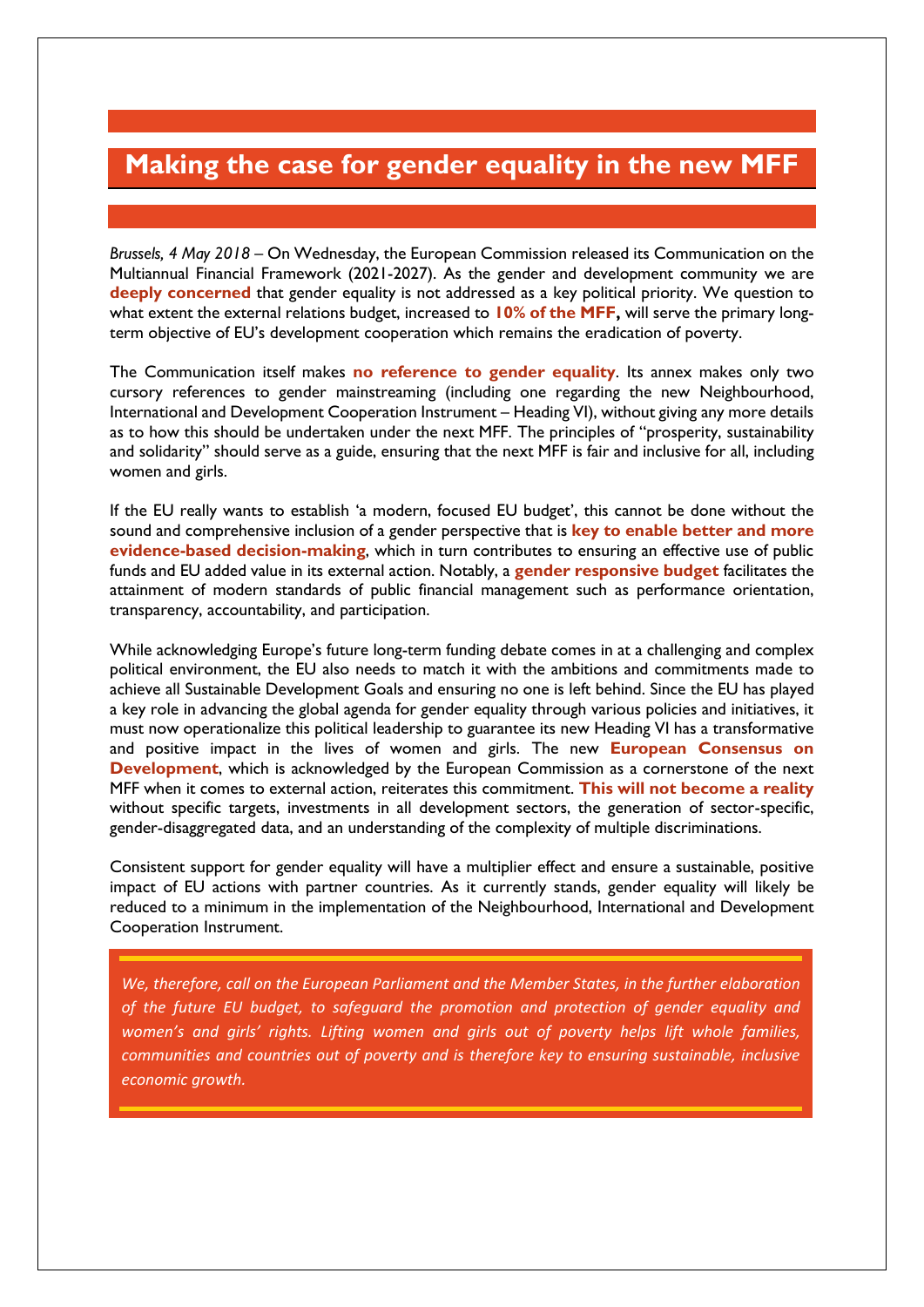## **Making the case for gender equality in the new MFF**

*Brussels, 4 May 2018 –* On Wednesday, the European Commission released its Communication on the Multiannual Financial Framework (2021-2027). As the gender and development community we are deeply concerned that gender equality is not addressed as a key political priority. We question to what extent the external relations budget, increased to **10% of the MFF,** will serve the primary longterm objective of EU's development cooperation which remains the eradication of poverty.

The Communication itself makes **no reference to gender equality**. Its annex makes only two cursory references to gender mainstreaming (including one regarding the new Neighbourhood, International and Development Cooperation Instrument – Heading VI), without giving any more details as to how this should be undertaken under the next MFF. The principles of "prosperity, sustainability and solidarity" should serve as a guide, ensuring that the next MFF is fair and inclusive for all, including women and girls.

If the EU really wants to establish 'a modern, focused EU budget', this cannot be done without the sound and comprehensive inclusion of a gender perspective that is **key to enable better and more evidence-based decision-making**, which in turn contributes to ensuring an effective use of public funds and EU added value in its external action. Notably, a **gender responsive budget** facilitates the attainment of modern standards of public financial management such as performance orientation, transparency, accountability, and participation.

While acknowledging Europe's future long-term funding debate comes in at a challenging and complex political environment, the EU also needs to match it with the ambitions and commitments made to achieve all Sustainable Development Goals and ensuring no one is left behind. Since the EU has played a key role in advancing the global agenda for gender equality through various policies and initiatives, it must now operationalize this political leadership to guarantee its new Heading VI has a transformative and positive impact in the lives of women and girls. The new **European Consensus on Development**, which is acknowledged by the European Commission as a cornerstone of the next MFF when it comes to external action, reiterates this commitment. **This will not become a reality** without specific targets, investments in all development sectors, the generation of sector-specific, gender-disaggregated data, and an understanding of the complexity of multiple discriminations.

Consistent support for gender equality will have a multiplier effect and ensure a sustainable, positive impact of EU actions with partner countries. As it currently stands, gender equality will likely be reduced to a minimum in the implementation of the Neighbourhood, International and Development Cooperation Instrument.

*We, therefore, call on the European Parliament and the Member States, in the further elaboration of the future EU budget, to safeguard the promotion and protection of gender equality and women's and girls' rights. Lifting women and girls out of poverty helps lift whole families, communities and countries out of poverty and is therefore key to ensuring sustainable, inclusive economic growth.*